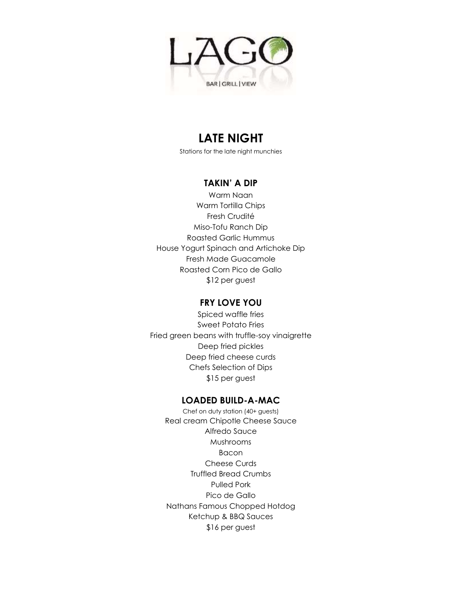

# **LATE NIGHT**

Stations for the late night munchies

## **TAKIN' A DIP**

Warm Naan Warm Tortilla Chips Fresh Crudité Miso-Tofu Ranch Dip Roasted Garlic Hummus House Yogurt Spinach and Artichoke Dip Fresh Made Guacamole Roasted Corn Pico de Gallo \$12 per guest

## **FRY LOVE YOU**

Spiced waffle fries Sweet Potato Fries Fried green beans with truffle-soy vinaigrette Deep fried pickles Deep fried cheese curds Chefs Selection of Dips \$15 per guest

## **LOADED BUILD-A-MAC**

Chef on duty station (40+ guests) Real cream Chipotle Cheese Sauce Alfredo Sauce Mushrooms Bacon Cheese Curds Truffled Bread Crumbs Pulled Pork Pico de Gallo Nathans Famous Chopped Hotdog Ketchup & BBQ Sauces \$16 per guest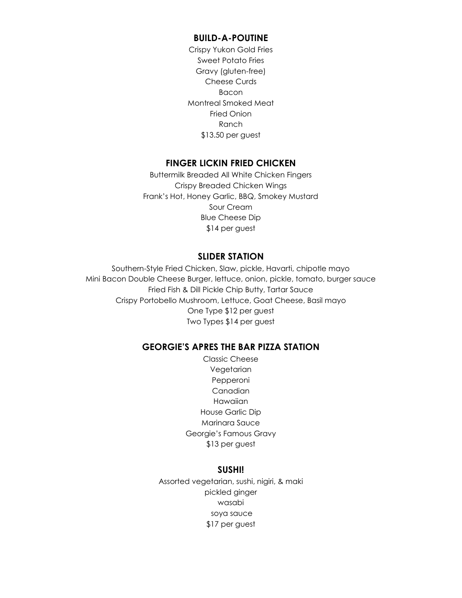#### **BUILD-A-POUTINE**

Crispy Yukon Gold Fries Sweet Potato Fries Gravy (gluten-free) Cheese Curds Bacon Montreal Smoked Meat Fried Onion Ranch \$13.50 per guest

#### **FINGER LICKIN FRIED CHICKEN**

Buttermilk Breaded All White Chicken Fingers Crispy Breaded Chicken Wings Frank's Hot, Honey Garlic, BBQ, Smokey Mustard Sour Cream Blue Cheese Dip \$14 per guest

#### **SLIDER STATION**

Southern-Style Fried Chicken, Slaw, pickle, Havarti, chipotle mayo Mini Bacon Double Cheese Burger, lettuce, onion, pickle, tomato, burger sauce Fried Fish & Dill Pickle Chip Butty, Tartar Sauce Crispy Portobello Mushroom, Lettuce, Goat Cheese, Basil mayo One Type \$12 per guest Two Types \$14 per guest

#### **GEORGIE'S APRES THE BAR PIZZA STATION**

Classic Cheese Vegetarian Pepperoni Canadian Hawaiian House Garlic Dip Marinara Sauce Georgie's Famous Gravy \$13 per guest

### **SUSHI!**

Assorted vegetarian, sushi, nigiri, & maki pickled ginger wasabi soya sauce \$17 per guest